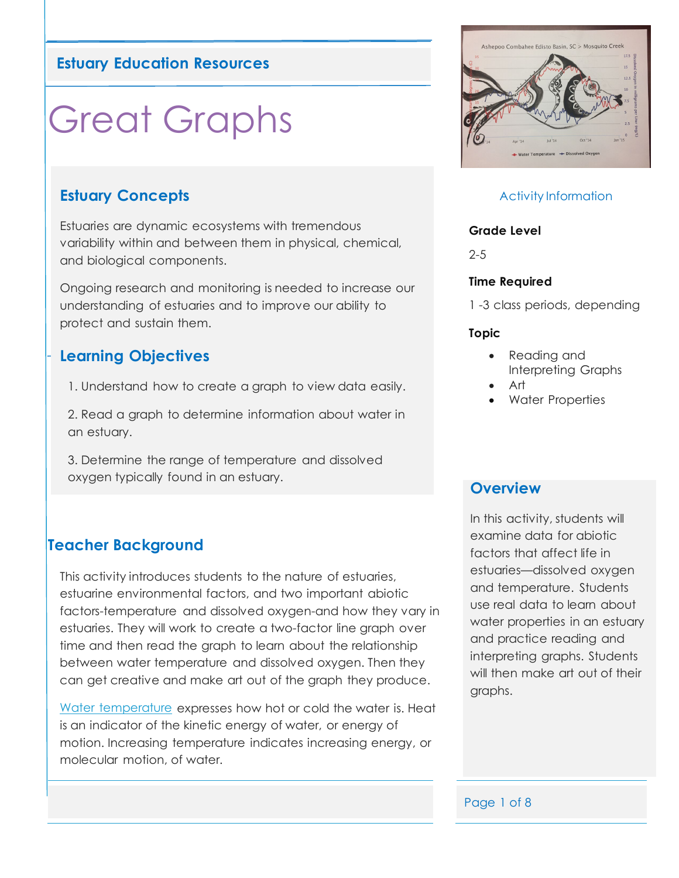## **Estuary Education Resources**

# Great Graphs

## **Estuary Concepts**

Estuaries are dynamic ecosystems with tremendous variability within and between them in physical, chemical, and biological components.

Ongoing research and monitoring is needed to increase our understanding of estuaries and to improve our ability to protect and sustain them.

### **Learning Objectives**

1. Understand how to create a graph to view data easily.

2. Read a graph to determine information about water in an estuary.

3. Determine the range of temperature and dissolved oxygen typically found in an estuary.

# **Teacher Background**

This activity introduces students to the nature of estuaries, estuarine environmental factors, and two important abiotic factors-temperature and dissolved oxygen-and how they vary in estuaries. They will work to create a two-factor line graph over time and then read the graph to learn about the relationship between water temperature and dissolved oxygen. Then they can get creative and make art out of the graph they produce.

[Water temperature](https://coast.noaa.gov/estuaries/science-data/) expresses how hot or cold the water is. Heat is an indicator of the kinetic energy of water, or energy of motion. Increasing temperature indicates increasing energy, or molecular motion, of water.



#### Activity Information

#### **Grade Level**

2-5

#### **Time Required**

1 -3 class periods, depending

#### **Topic**

- Reading and Interpreting Graphs
- Art
- Water Properties

#### **Overview**

In this activity, students will examine data for abiotic factors that affect life in estuaries—dissolved oxygen and temperature. Students use real data to learn about water properties in an estuary and practice reading and interpreting graphs. Students will then make art out of their graphs.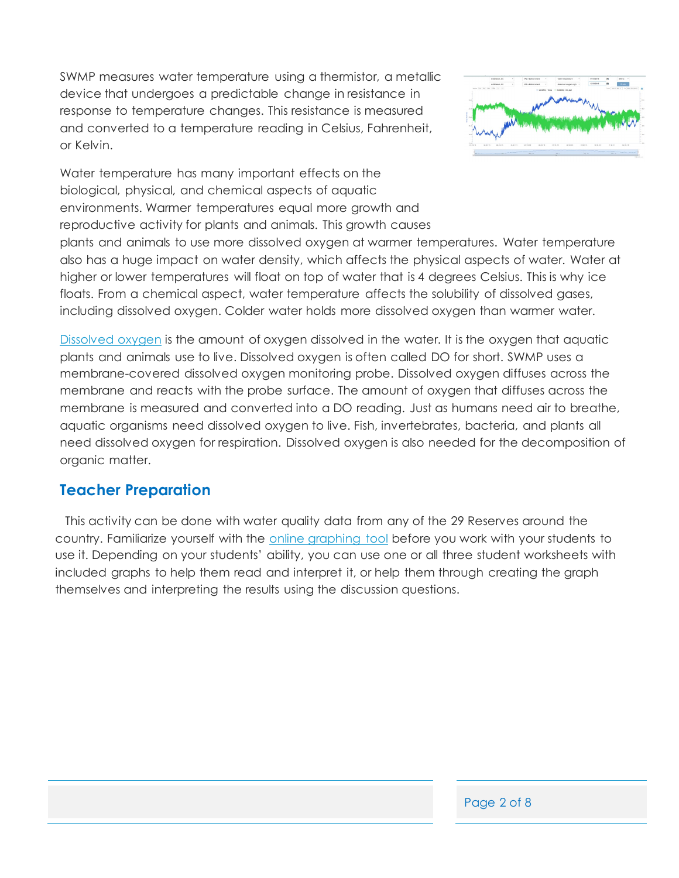SWMP measures water temperature using a thermistor, a metallic device that undergoes a predictable change in resistance in response to temperature changes. This resistance is measured and converted to a temperature reading in Celsius, Fahrenheit, or Kelvin.



Water temperature has many important effects on the biological, physical, and chemical aspects of aquatic environments. Warmer temperatures equal more growth and reproductive activity for plants and animals. This growth causes

plants and animals to use more dissolved oxygen at warmer temperatures. Water temperature also has a huge impact on water density, which affects the physical aspects of water. Water at higher or lower temperatures will float on top of water that is 4 degrees Celsius. This is why ice floats. From a chemical aspect, water temperature affects the solubility of dissolved gases, including dissolved oxygen. Colder water holds more dissolved oxygen than warmer water.

[Dissolved oxygen](https://coast.noaa.gov/estuaries/science-data/) is the amount of oxygen dissolved in the water. It is the oxygen that aquatic plants and animals use to live. Dissolved oxygen is often called DO for short. SWMP uses a membrane-covered dissolved oxygen monitoring probe. Dissolved oxygen diffuses across the membrane and reacts with the probe surface. The amount of oxygen that diffuses across the membrane is measured and converted into a DO reading. Just as humans need air to breathe, aquatic organisms need dissolved oxygen to live. Fish, invertebrates, bacteria, and plants all need dissolved oxygen for respiration. Dissolved oxygen is also needed for the decomposition of organic matter.

# **Teacher Preparation**

 This activity can be done with water quality data from any of the 29 Reserves around the country. Familiarize yourself with the [online graphing tool](http://cdmo.baruch.sc.edu/dges/) before you work with your students to use it. Depending on your students' ability, you can use one or all three student worksheets with included graphs to help them read and interpret it, or help them through creating the graph themselves and interpreting the results using the discussion questions.

Page 2 of 8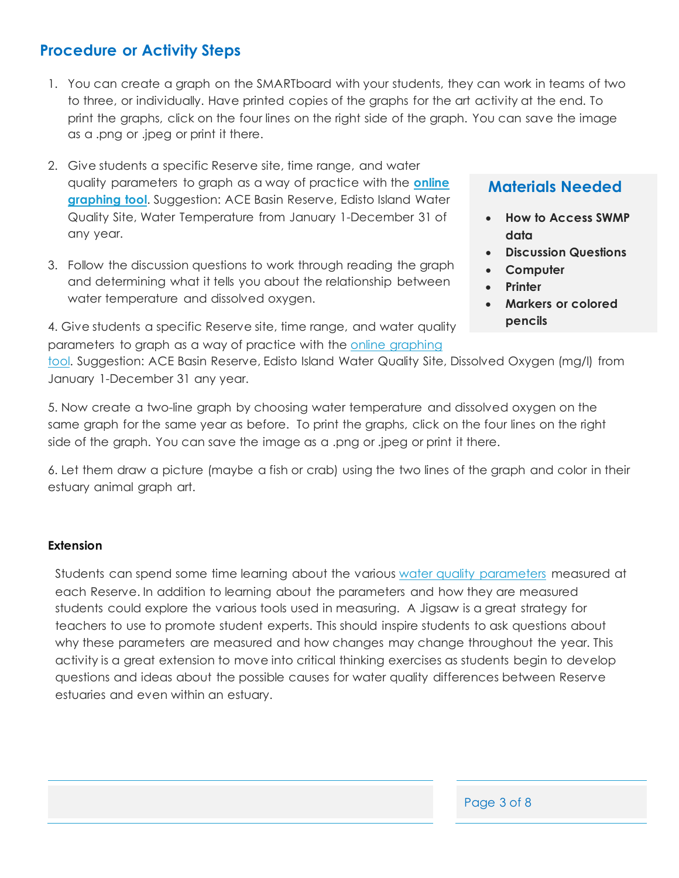# **Procedure or Activity Steps**

- 1. You can create a graph on the SMARTboard with your students, they can work in teams of two to three, or individually. Have printed copies of the graphs for the art activity at the end. To print the graphs, click on the four lines on the right side of the graph. You can save the image as a .png or .jpeg or print it there.
- 2. Give students a specific Reserve site, time range, and water quality parameters to graph as a way of practice with the **[online](http://cdmo.baruch.sc.edu/dges/)  [graphing tool](http://cdmo.baruch.sc.edu/dges/)**. Suggestion: ACE Basin Reserve, Edisto Island Water Quality Site, Water Temperature from January 1-December 31 of any year.
- 3. Follow the discussion questions to work through reading the graph and determining what it tells you about the relationship between water temperature and dissolved oxygen.

4. Give students a specific Reserve site, time range, and water quality parameters to graph as a way of practice with the [online graphing](http://cdmo.baruch.sc.edu/dges/) 

## **Materials Needed**

- **How to Access SWMP data**
- **Discussion Questions**
- **Computer**
- **Printer**
- **Markers or colored pencils**

[tool.](http://cdmo.baruch.sc.edu/dges/) Suggestion: ACE Basin Reserve, Edisto Island Water Quality Site, Dissolved Oxygen (mg/l) from January 1-December 31 any year.

5. Now create a two-line graph by choosing water temperature and dissolved oxygen on the same graph for the same year as before. To print the graphs, click on the four lines on the right side of the graph. You can save the image as a .png or .jpeg or print it there.

6. Let them draw a picture (maybe a fish or crab) using the two lines of the graph and color in their estuary animal graph art.

#### **Extension**

Students can spend some time learning about the various [water quality parameters](https://coast.noaa.gov/estuaries/science-data/) measured at each Reserve. In addition to learning about the parameters and how they are measured students could explore the various tools used in measuring. A Jigsaw is a great strategy for teachers to use to promote student experts. This should inspire students to ask questions about why these parameters are measured and how changes may change throughout the year. This activity is a great extension to move into critical thinking exercises as students begin to develop questions and ideas about the possible causes for water quality differences between Reserve estuaries and even within an estuary.

Page 3 of 8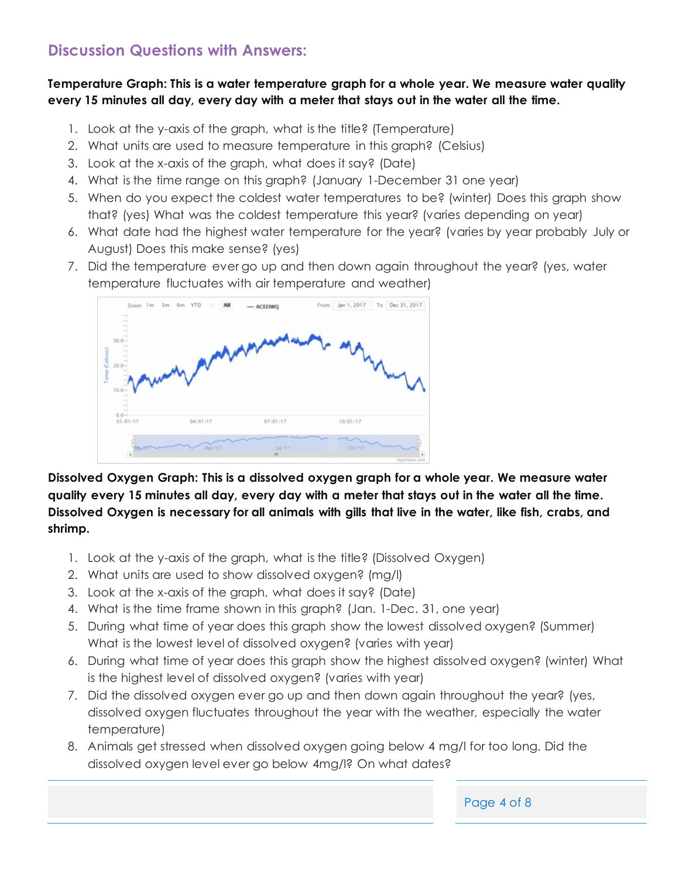# **Discussion Questions with Answers:**

#### **Temperature Graph: This is a water temperature graph for a whole year. We measure water quality every 15 minutes all day, every day with a meter that stays out in the water all the time.**

- 1. Look at the y-axis of the graph, what is the title? (Temperature)
- 2. What units are used to measure temperature in this graph? (Celsius)
- 3. Look at the x-axis of the graph, what does it say? (Date)
- 4. What is the time range on this graph? (January 1-December 31 one year)
- 5. When do you expect the coldest water temperatures to be? (winter) Does this graph show that? (yes) What was the coldest temperature this year? (varies depending on year)
- 6. What date had the highest water temperature for the year? (varies by year probably July or August) Does this make sense? (yes)
- 7. Did the temperature ever go up and then down again throughout the year? (yes, water temperature fluctuates with air temperature and weather)



**Dissolved Oxygen Graph: This is a dissolved oxygen graph for a whole year. We measure water quality every 15 minutes all day, every day with a meter that stays out in the water all the time. Dissolved Oxygen is necessary for all animals with gills that live in the water, like fish, crabs, and shrimp.** 

- 1. Look at the y-axis of the graph, what is the title? (Dissolved Oxygen)
- 2. What units are used to show dissolved oxygen? (mg/l)
- 3. Look at the x-axis of the graph, what does it say? (Date)
- 4. What is the time frame shown in this graph? (Jan. 1-Dec. 31, one year)
- 5. During what time of year does this graph show the lowest dissolved oxygen? (Summer) What is the lowest level of dissolved oxygen? (varies with year)
- 6. During what time of year does this graph show the highest dissolved oxygen? (winter) What is the highest level of dissolved oxygen? (varies with year)
- 7. Did the dissolved oxygen ever go up and then down again throughout the year? (yes, dissolved oxygen fluctuates throughout the year with the weather, especially the water temperature)
- 8. Animals get stressed when dissolved oxygen going below 4 mg/l for too long. Did the dissolved oxygen level ever go below 4mg/l? On what dates?

Page 4 of 8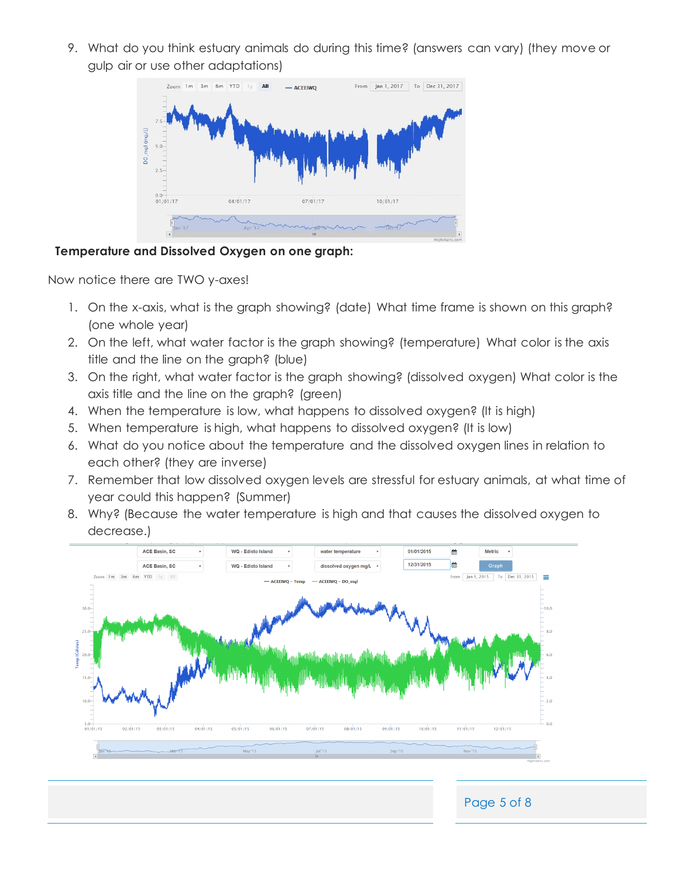9. What do you think estuary animals do during this time? (answers can vary) (they move or gulp air or use other adaptations)



#### **Temperature and Dissolved Oxygen on one graph:**

Now notice there are TWO y-axes!

- 1. On the x-axis, what is the graph showing? (date) What time frame is shown on this graph? (one whole year)
- 2. On the left, what water factor is the graph showing? (temperature) What color is the axis title and the line on the graph? (blue)
- 3. On the right, what water factor is the graph showing? (dissolved oxygen) What color is the axis title and the line on the graph? (green)
- 4. When the temperature is low, what happens to dissolved oxygen? (It is high)
- 5. When temperature is high, what happens to dissolved oxygen? (It is low)
- 6. What do you notice about the temperature and the dissolved oxygen lines in relation to each other? (they are inverse)
- 7. Remember that low dissolved oxygen levels are stressful for estuary animals, at what time of year could this happen? (Summer)
- 8. Why? (Because the water temperature is high and that causes the dissolved oxygen to decrease.)



Page 5 of 8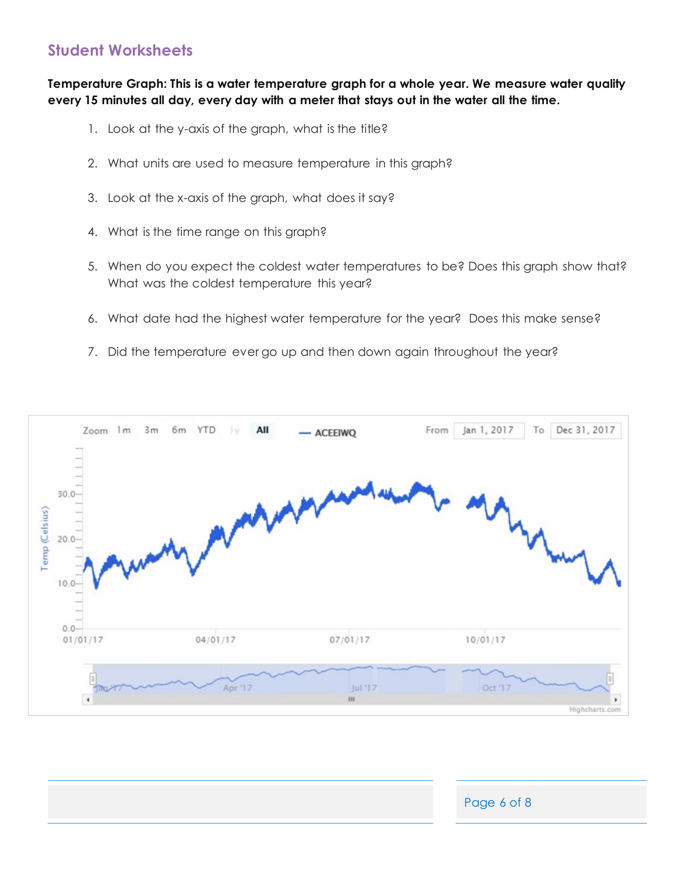# **Student Worksheets**

**Temperature Graph: This is a water temperature graph for a whole year. We measure water quality every 15 minutes all day, every day with a meter that stays out in the water all the time.** 

- 1. Look at the y-axis of the graph, what is the title?
- 2. What units are used to measure temperature in this graph?
- 3. Look at the x-axis of the graph, what does it say?
- 4. What is the time range on this graph?
- 5. When do you expect the coldest water temperatures to be? Does this graph show that? What was the coldest temperature this year?
- 6. What date had the highest water temperature for the year? Does this make sense?
- 7. Did the temperature ever go up and then down again throughout the year?



| Page 6 of 8 |
|-------------|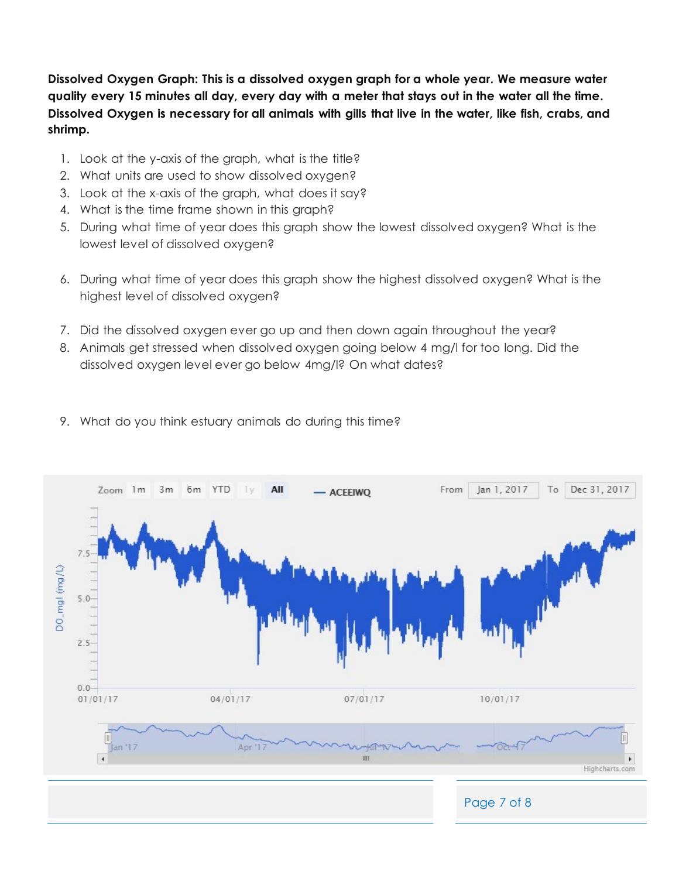**Dissolved Oxygen Graph: This is a dissolved oxygen graph for a whole year. We measure water quality every 15 minutes all day, every day with a meter that stays out in the water all the time. Dissolved Oxygen is necessary for all animals with gills that live in the water, like fish, crabs, and shrimp.** 

- 1. Look at the y-axis of the graph, what is the title?
- 2. What units are used to show dissolved oxygen?
- 3. Look at the x-axis of the graph, what does it say?
- 4. What is the time frame shown in this graph?
- 5. During what time of year does this graph show the lowest dissolved oxygen? What is the lowest level of dissolved oxygen?
- 6. During what time of year does this graph show the highest dissolved oxygen? What is the highest level of dissolved oxygen?
- 7. Did the dissolved oxygen ever go up and then down again throughout the year?
- 8. Animals get stressed when dissolved oxygen going below 4 mg/l for too long. Did the dissolved oxygen level ever go below 4mg/l? On what dates?
- 9. What do you think estuary animals do during this time?